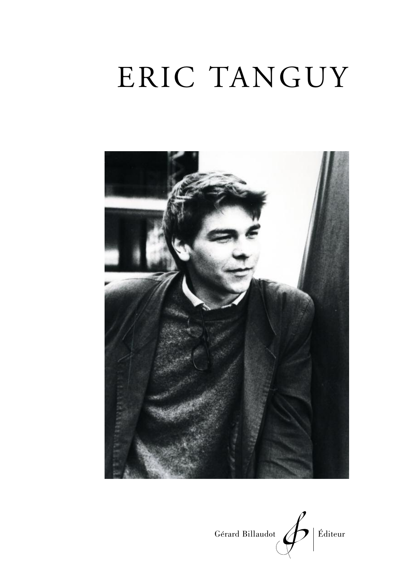# ERIC TANGUY



Gérard Billaudot  $\left\langle \right\rangle$  Éditeur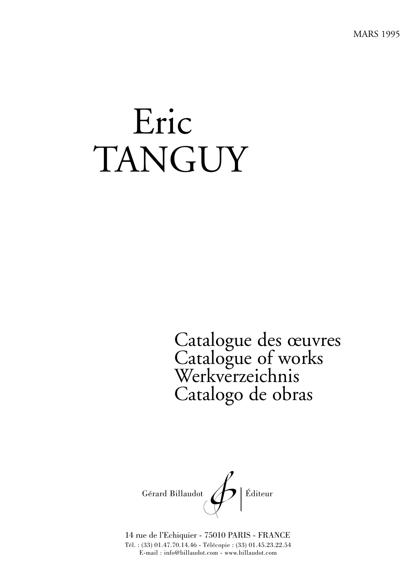MARS 1995

# Eric TANGUY

Catalogue des œuvres Catalogue of works Werkverzeichnis Catalogo de obras



14 rue de l'Echiquier - 75010 PARIS - FRANCE Tél. : (33) 01.47.70.14.46 - Télécopie : (33) 01.45.23.22.54 E-mail : info@billaudot.com - www.billaudot.com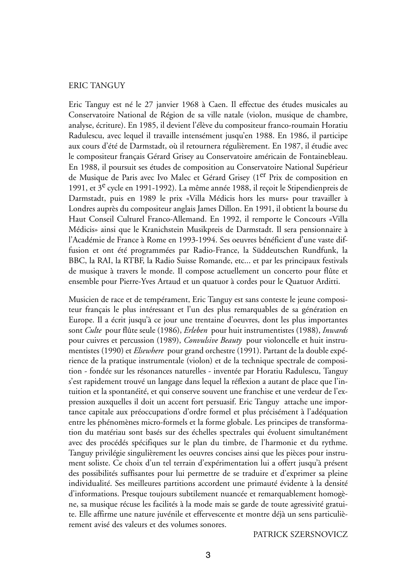#### ERIC TANGUY

Eric Tanguy est né le 27 janvier 1968 à Caen. Il effectue des études musicales au Conservatoire National de Région de sa ville natale (violon, musique de chambre, analyse, écriture). En 1985, il devient l'élève du compositeur franco-roumain Horatiu Radulescu, avec lequel il travaille intensément jusqu'en 1988. En 1986, il participe aux cours d'été de Darmstadt, où il retournera régulièrement. En 1987, il étudie avec le compositeur français Gérard Grisey au Conservatoire américain de Fontainebleau. En 1988, il poursuit ses études de composition au Conservatoire National Supérieur de Musique de Paris avec Ivo Malec et Gérard Grisey (1er Prix de composition en 1991, et 3<sup>e</sup> cycle en 1991-1992). La même année 1988, il reçoit le Stipendienpreis de Darmstadt, puis en 1989 le prix «Villa Médicis hors les murs» pour travailler à Londres auprès du compositeur anglais James Dillon. En 1991, il obtient la bourse du Haut Conseil Culturel Franco-Allemand. En 1992, il remporte le Concours «Villa Médicis» ainsi que le Kranichstein Musikpreis de Darmstadt. Il sera pensionnaire à l'Académie de France à Rome en 1993-1994. Ses oeuvres bénéficient d'une vaste diffusion et ont été programmées par Radio-France, la Süddeutschen Rundfunk, la BBC, la RAI, la RTBF, la Radio Suisse Romande, etc... et par les principaux festivals de musique à travers le monde. Il compose actuellement un concerto pour flûte et ensemble pour Pierre-Yves Artaud et un quatuor à cordes pour le Quatuor Arditti.

Musicien de race et de tempérament, Eric Tanguy est sans conteste le jeune compositeur français le plus intéressant et l'un des plus remarquables de sa génération en Europe. Il a écrit jusqu'à ce jour une trentaine d'oeuvres, dont les plus importantes sont *Culte* pour flûte seule (1986), *Erleben* pour huit instrumentistes (1988), *Inwards* pour cuivres et percussion (1989), *Convulsive Beauty* pour violoncelle et huit instrumentistes (1990) et *Elsewhere* pour grand orchestre (1991). Partant de la double expérience de la pratique instrumentale (violon) et de la technique spectrale de composition - fondée sur les résonances naturelles - inventée par Horatiu Radulescu, Tanguy s'est rapidement trouvé un langage dans lequel la réflexion a autant de place que l'intuition et la spontanéité, et qui conserve souvent une franchise et une verdeur de l'expression auxquelles il doit un accent fort persuasif. Eric Tanguy attache une importance capitale aux préoccupations d'ordre formel et plus précisément à l'adéquation entre les phénomènes micro-formels et la forme globale. Les principes de transformation du matériau sont basés sur des échelles spectrales qui évoluent simultanément avec des procédés spécifiques sur le plan du timbre, de l'harmonie et du rythme. Tanguy privilégie singulièrement les oeuvres concises ainsi que les pièces pour instrument soliste. Ce choix d'un tel terrain d'expérimentation lui a offert jusqu'à présent des possibilités suffisantes pour lui permettre de se traduire et d'exprimer sa pleine individualité. Ses meilleures partitions accordent une primauté évidente à la densité d'informations. Presque toujours subtilement nuancée et remarquablement homogène, sa musique récuse les facilités à la mode mais se garde de toute agressivité gratuite. Elle affirme une nature juvénile et effervescente et montre déjà un sens particulièrement avisé des valeurs et des volumes sonores.

PATRICK SZERSNOVICZ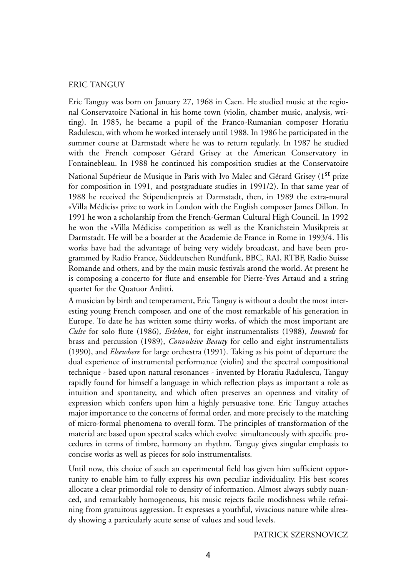#### ERIC TANGUY

Eric Tanguy was born on January 27, 1968 in Caen. He studied music at the regional Conservatoire National in his home town (violin, chamber music, analysis, writing). In 1985, he became a pupil of the Franco-Rumanian composer Horatiu Radulescu, with whom he worked intensely until 1988. In 1986 he participated in the summer course at Darmstadt where he was to return regularly. In 1987 he studied with the French composer Gérard Grisey at the American Conservatory in Fontainebleau. In 1988 he continued his composition studies at the Conservatoire National Supérieur de Musique in Paris with Ivo Malec and Gérard Grisey (1<sup>st</sup> prize for composition in 1991, and postgraduate studies in 1991/2). In that same year of 1988 he received the Stipendienpreis at Darmstadt, then, in 1989 the extra-mural «Villa Médicis» prize to work in London with the English composer James Dillon. In 1991 he won a scholarship from the French-German Cultural High Council. In 1992 he won the «Villa Médicis» competition as well as the Kranichstein Musikpreis at Darmstadt. He will be a boarder at the Academie de France in Rome in 1993/4. His works have had the advantage of being very widely broadcast, and have been programmed by Radio France, Süddeutschen Rundfunk, BBC, RAI, RTBF, Radio Suisse Romande and others, and by the main music festivals arond the world. At present he is composing a concerto for flute and ensemble for Pierre-Yves Artaud and a string quartet for the Quatuor Arditti.

A musician by birth and temperament, Eric Tanguy is without a doubt the most interesting young French composer, and one of the most remarkable of his generation in Europe. To date he has written some thirty works, of which the most important are *Culte* for solo flute (1986), *Erleben*, for eight instrumentalists (1988), *Inwards* for brass and percussion (1989), *Convulsive Beauty* for cello and eight instrumentalists (1990), and *Elsewhere* for large orchestra (1991). Taking as his point of departure the dual experience of instrumental performance (violin) and the spectral compositional technique - based upon natural resonances - invented by Horatiu Radulescu, Tanguy rapidly found for himself a language in which reflection plays as important a role as intuition and spontaneity, and which often preserves an openness and vitality of expression which confers upon him a highly persuasive tone. Eric Tanguy attaches major importance to the concerns of formal order, and more precisely to the matching of micro-formal phenomena to overall form. The principles of transformation of the material are based upon spectral scales which evolve simultaneously with specific procedures in terms of timbre, harmony an rhythm. Tanguy gives singular emphasis to concise works as well as pieces for solo instrumentalists.

Until now, this choice of such an esperimental field has given him sufficient opportunity to enable him to fully express his own peculiar individuality. His best scores allocate a clear primordial role to density of information. Almost always subtly nuanced, and remarkably homogeneous, his music rejects facile modishness while refraining from gratuitous aggression. It expresses a youthful, vivacious nature while already showing a particularly acute sense of values and soud levels.

PATRICK SZERSNOVICZ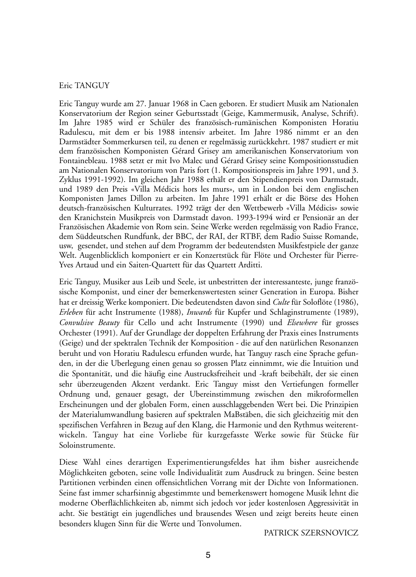#### Eric TANGUY

Eric Tanguy wurde am 27. Januar 1968 in Caen geboren. Er studiert Musik am Nationalen Konservatorium der Region seiner Geburtsstadt (Geige, Kammermusik, Analyse, Schrift). Im Jahre 1985 wird er Schüler des französisch-rumänischen Komponisten Horatiu Radulescu, mit dem er bis 1988 intensiv arbeitet. Im Jahre 1986 nimmt er an den Darmstädter Sommerkursen teil, zu denen er regelmässig zurückkehrt. 1987 studiert er mit dem französischen Komponisten Gérard Grisey am amerikanischen Konservatorium von Fontainebleau. 1988 setzt er mit Ivo Malec und Gérard Grisey seine Kompositionsstudien am Nationalen Konservatorium von Paris fort (1. Kompositionspreis im Jahre 1991, und 3. Zyklus 1991-1992). Im gleichen Jahr 1988 erhält er den Stipendienpreis von Darmstadt, und 1989 den Preis «Villa Médicis hors les murs», um in London bei dem englischen Komponisten James Dillon zu arbeiten. Im Jahre 1991 erhält er die Börse des Hohen deutsch-französischen Kulturrates. 1992 trägt der den Wettbewerb «Villa Médicis» sowie den Kranichstein Musikpreis von Darmstadt davon. 1993-1994 wird er Pensionär an der Französischen Akademie von Rom sein. Seine Werke werden regelmässig von Radio France, dem Süddeutschen Rundfunk, der BBC, der RAI, der RTBF, dem Radio Suisse Romande, usw, gesendet, und stehen auf dem Programm der bedeutendsten Musikfestpiele der ganze Welt. Augenblicklich komponiert er ein Konzertstück für Flöte und Orchester für Pierre-Yves Artaud und ein Saiten-Quartett für das Quartett Arditti.

Eric Tanguy, Musiker aus Leib und Seele, ist unbestritten der interessanteste, junge französische Komponist, und einer der bemerkenswertesten seiner Generation in Europa. Bisher hat er dreissig Werke komponiert. Die bedeutendsten davon sind *Culte* für Soloflöte (1986), *Erleben* für acht Instrumente (1988), *Inwards* für Kupfer und Schlaginstrumente (1989), *Convulsive Beauty* für Cello und acht Instrumente (1990) und *Elsewhere* für grosses Orchester (1991). Auf der Grundlage der doppelten Erfahrung der Praxis eines Instruments (Geige) und der spektralen Technik der Komposition - die auf den natürlichen Resonanzen beruht und von Horatiu Radulescu erfunden wurde, hat Tanguy rasch eine Sprache gefunden, in der die Uberlegung einen genau so grossen Platz einnimmt, wie die Intuition und die Spontanität, und die häufig eine Austrucksfreiheit und -kraft beibehält, der sie einen sehr überzeugenden Akzent verdankt. Eric Tanguy misst den Vertiefungen formeller Ordnung und, genauer gesagt, der Ubereinstimmung zwischen den mikroformellen Erscheinungen und der globalen Form, einen ausschlaggebenden Wert bei. Die Prinzipien der Materialumwandlung basieren auf spektralen MaBstäben, die sich gleichzeitig mit den spezifischen Verfahren in Bezug auf den Klang, die Harmonie und den Rythmus weiterentwickeln. Tanguy hat eine Vorliebe für kurzgefasste Werke sowie für Stücke für Soloinstrumente.

Diese Wahl eines derartigen Experimentierungsfeldes hat ihm bisher ausreichende Möglichkeiten geboten, seine volle Individualität zum Ausdruck zu bringen. Seine besten Partitionen verbinden einen offensichtlichen Vorrang mit der Dichte von Informationen. Seine fast immer scharfsinnig abgestimmte und bemerkenswert homogene Musik lehnt die moderne Oberflächlichkeiten ab, nimmt sich jedoch vor jeder kostenlosen Aggressivität in acht. Sie bestätigt ein jugendliches und brausendes Wesen und zeigt bereits heute einen besonders klugen Sinn für die Werte und Tonvolumen.

PATRICK SZERSNOVICZ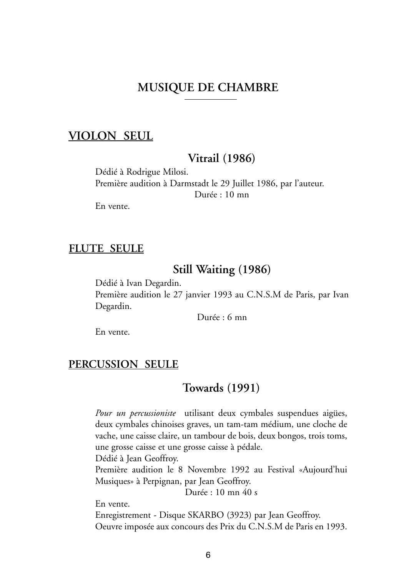#### **MUSIQUE DE CHAMBRE**

#### **VIOLON SEUL**

#### **Vitrail (1986)**

Dédié à Rodrigue Milosi. Première audition à Darmstadt le 29 Juillet 1986, par l'auteur. Durée : 10 mn

En vente.

#### **FLUTE SEULE**

#### **Still Waiting (1986)**

Dédié à Ivan Degardin. Première audition le 27 janvier 1993 au C.N.S.M de Paris, par Ivan Degardin.

Durée : 6 mn

En vente.

#### **PERCUSSION SEULE**

#### **Towards (1991)**

*Pour un percussioniste* utilisant deux cymbales suspendues aigües, deux cymbales chinoises graves, un tam-tam médium, une cloche de vache, une caisse claire, un tambour de bois, deux bongos, trois toms, une grosse caisse et une grosse caisse à pédale.

Dédié à Jean Geoffroy.

Première audition le 8 Novembre 1992 au Festival «Aujourd'hui Musiques» à Perpignan, par Jean Geoffroy.

Durée : 10 mn 40 s

En vente.

Enregistrement - Disque SKARBO (3923) par Jean Geoffroy. Oeuvre imposée aux concours des Prix du C.N.S.M de Paris en 1993.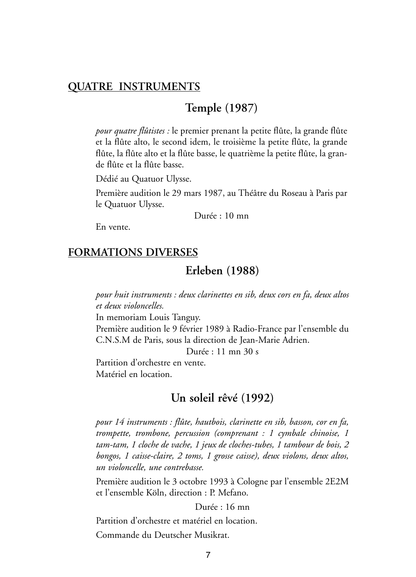#### **QUATRE INSTRUMENTS**

#### **Temple (1987)**

*pour quatre flûtistes :* le premier prenant la petite flûte, la grande flûte et la flûte alto, le second idem, le troisième la petite flûte, la grande flûte, la flûte alto et la flûte basse, le quatrième la petite flûte, la grande flûte et la flûte basse.

Dédié au Quatuor Ulysse.

Première audition le 29 mars 1987, au Théâtre du Roseau à Paris par le Quatuor Ulysse.

Durée : 10 mn

En vente.

#### **FORMATIONS DIVERSES**

**Erleben (1988)**

*pour huit instruments : deux clarinettes en sib, deux cors en fa, deux altos et deux violoncelles.*

In memoriam Louis Tanguy.

Première audition le 9 février 1989 à Radio-France par l'ensemble du C.N.S.M de Paris, sous la direction de Jean-Marie Adrien.

Durée : 11 mn 30 s

Partition d'orchestre en vente. Matériel en location.

#### **Un soleil rêvé (1992)**

*pour 14 instruments : flûte, hautbois, clarinette en sib, basson, cor en fa, trompette, trombone, percussion (comprenant : 1 cymbale chinoise, 1 tam-tam, 1 cloche de vache, 1 jeux de cloches-tubes, 1 tambour de bois, 2 bongos, 1 caisse-claire, 2 toms, 1 grosse caisse), deux violons, deux altos, un violoncelle, une contrebasse.*

Première audition le 3 octobre 1993 à Cologne par l'ensemble 2E2M et l'ensemble Köln, direction : P. Mefano.

#### Durée : 16 mn

Partition d'orchestre et matériel en location.

Commande du Deutscher Musikrat.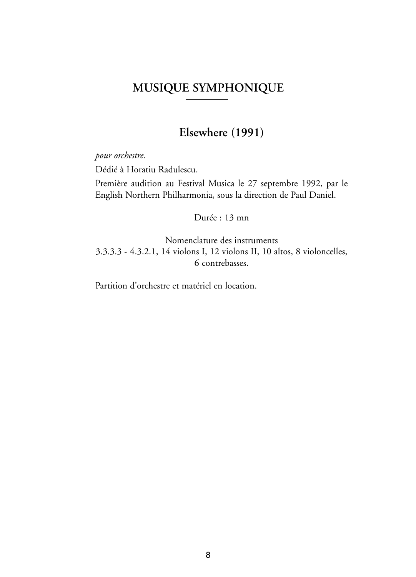### **MUSIQUE SYMPHONIQUE**

### **Elsewhere (1991)**

*pour orchestre.*

Dédié à Horatiu Radulescu.

Première audition au Festival Musica le 27 septembre 1992, par le English Northern Philharmonia, sous la direction de Paul Daniel.

Durée : 13 mn

Nomenclature des instruments 3.3.3.3 - 4.3.2.1, 14 violons I, 12 violons II, 10 altos, 8 violoncelles, 6 contrebasses.

Partition d'orchestre et matériel en location.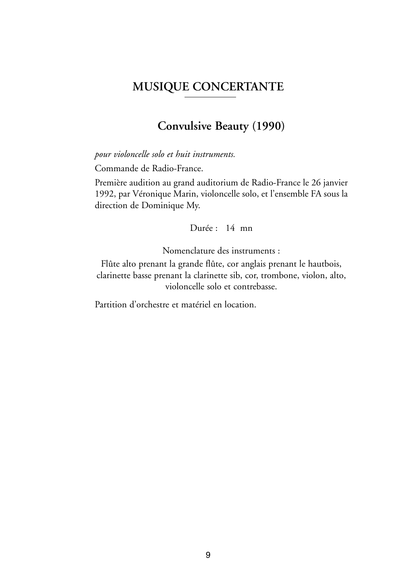#### **MUSIQUE CONCERTANTE**

#### **Convulsive Beauty (1990)**

*pour violoncelle solo et huit instruments.*

Commande de Radio-France.

Première audition au grand auditorium de Radio-France le 26 janvier 1992, par Véronique Marin, violoncelle solo, et l'ensemble FA sous la direction de Dominique My.

Durée : 14 mn

Nomenclature des instruments :

Flûte alto prenant la grande flûte, cor anglais prenant le hautbois, clarinette basse prenant la clarinette sib, cor, trombone, violon, alto, violoncelle solo et contrebasse.

Partition d'orchestre et matériel en location.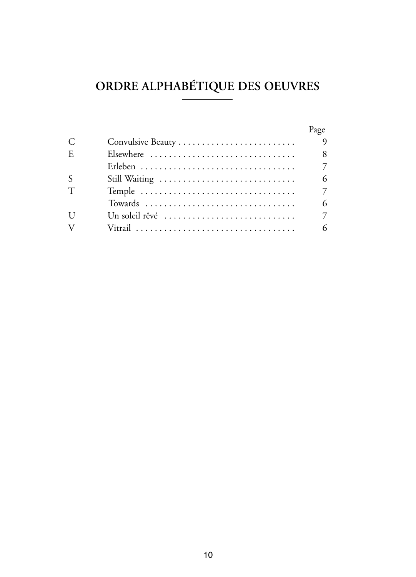# **ORDRE ALPHABÉTIQUE DES OEUVRES**

|              |                                                                         | Page     |
|--------------|-------------------------------------------------------------------------|----------|
| C            |                                                                         | $\Omega$ |
| E.           | Elsewhere                                                               | 8        |
|              |                                                                         | 7        |
| S            |                                                                         | 6        |
| T            |                                                                         | 7        |
|              |                                                                         | 6        |
| $\mathbf{I}$ | Un soleil rêvé $\ldots, \ldots, \ldots, \ldots, \ldots, \ldots, \ldots$ | 7        |
| V            |                                                                         | 6        |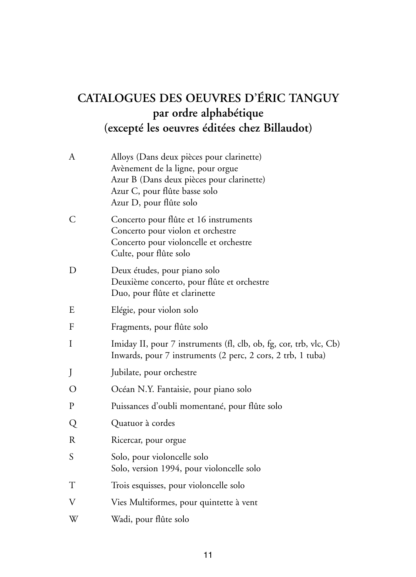# **CATALOGUES DES OEUVRES D'ÉRIC TANGUY par ordre alphabétique (excepté les oeuvres éditées chez Billaudot)**

| А | Alloys (Dans deux pièces pour clarinette)<br>Avènement de la ligne, pour orgue<br>Azur B (Dans deux pièces pour clarinette)<br>Azur C, pour flûte basse solo<br>Azur D, pour flûte solo |
|---|-----------------------------------------------------------------------------------------------------------------------------------------------------------------------------------------|
| С | Concerto pour flûte et 16 instruments<br>Concerto pour violon et orchestre<br>Concerto pour violoncelle et orchestre<br>Culte, pour flûte solo                                          |
| D | Deux études, pour piano solo<br>Deuxième concerto, pour flûte et orchestre<br>Duo, pour flûte et clarinette                                                                             |
| E | Elégie, pour violon solo                                                                                                                                                                |
| F | Fragments, pour flûte solo                                                                                                                                                              |
| Ι | Imiday II, pour 7 instruments (fl, clb, ob, fg, cor, trb, vlc, Cb)<br>Inwards, pour 7 instruments (2 perc, 2 cors, 2 trb, 1 tuba)                                                       |
| J | Jubilate, pour orchestre                                                                                                                                                                |
| O | Océan N.Y. Fantaisie, pour piano solo                                                                                                                                                   |
| P | Puissances d'oubli momentané, pour flûte solo                                                                                                                                           |
| Q | Quatuor à cordes                                                                                                                                                                        |
| R | Ricercar, pour orgue                                                                                                                                                                    |
| S | Solo, pour violoncelle solo<br>Solo, version 1994, pour violoncelle solo                                                                                                                |
| Т | Trois esquisses, pour violoncelle solo                                                                                                                                                  |
| V | Vies Multiformes, pour quintette à vent                                                                                                                                                 |
| W | Wadi, pour flûte solo                                                                                                                                                                   |